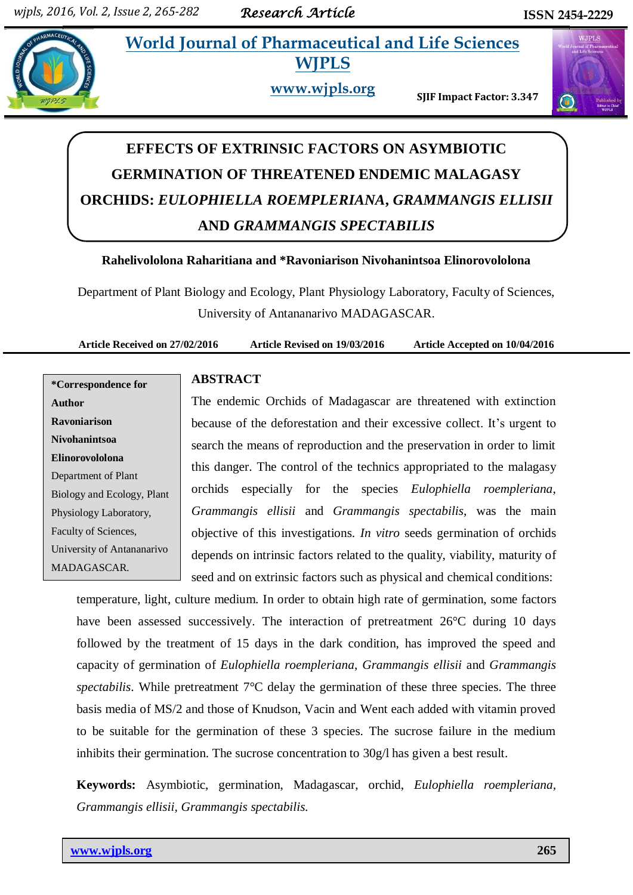# **228 • World Journal of Pharmaceutical and Life Sciences WJPLS**



**www.wjpls.org SJIF Impact Factor: 3.347**



# **EFFECTS OF EXTRINSIC FACTORS ON ASYMBIOTIC GERMINATION OF THREATENED ENDEMIC MALAGASY ORCHIDS:** *EULOPHIELLA ROEMPLERIANA***,** *GRAMMANGIS ELLISII* **AND** *GRAMMANGIS SPECTABILIS*

# **Rahelivololona Raharitiana and \*Ravoniarison Nivohanintsoa Elinorovololona**

Department of Plant Biology and Ecology, Plant Physiology Laboratory, Faculty of Sciences, University of Antananarivo MADAGASCAR.

**Article Received on 27/02/2016 Article Revised on 19/03/2016 Article Accepted on 10/04/2016**

**\*Correspondence for Author Ravoniarison Nivohanintsoa Elinorovololona** Department of Plant Biology and Ecology, Plant Physiology Laboratory, Faculty of Sciences, University of Antananarivo MADAGASCAR.

# **ABSTRACT**

The endemic Orchids of Madagascar are threatened with extinction because of the deforestation and their excessive collect. It"s urgent to search the means of reproduction and the preservation in order to limit this danger. The control of the technics appropriated to the malagasy orchids especially for the species *Eulophiella roempleriana*, *Grammangis ellisii* and *Grammangis spectabilis*, was the main objective of this investigations. *In vitro* seeds germination of orchids depends on intrinsic factors related to the quality, viability, maturity of seed and on extrinsic factors such as physical and chemical conditions:

temperature, light, culture medium. In order to obtain high rate of germination, some factors have been assessed successively. The interaction of pretreatment 26°C during 10 days followed by the treatment of 15 days in the dark condition, has improved the speed and capacity of germination of *Eulophiella roempleriana*, *Grammangis ellisii* and *Grammangis spectabilis*. While pretreatment 7°C delay the germination of these three species. The three basis media of MS/2 and those of Knudson, Vacin and Went each added with vitamin proved to be suitable for the germination of these 3 species. The sucrose failure in the medium inhibits their germination. The sucrose concentration to 30g/l has given a best result.

**Keywords:** Asymbiotic, germination, Madagascar, orchid, *Eulophiella roempleriana, Grammangis ellisii, Grammangis spectabilis.*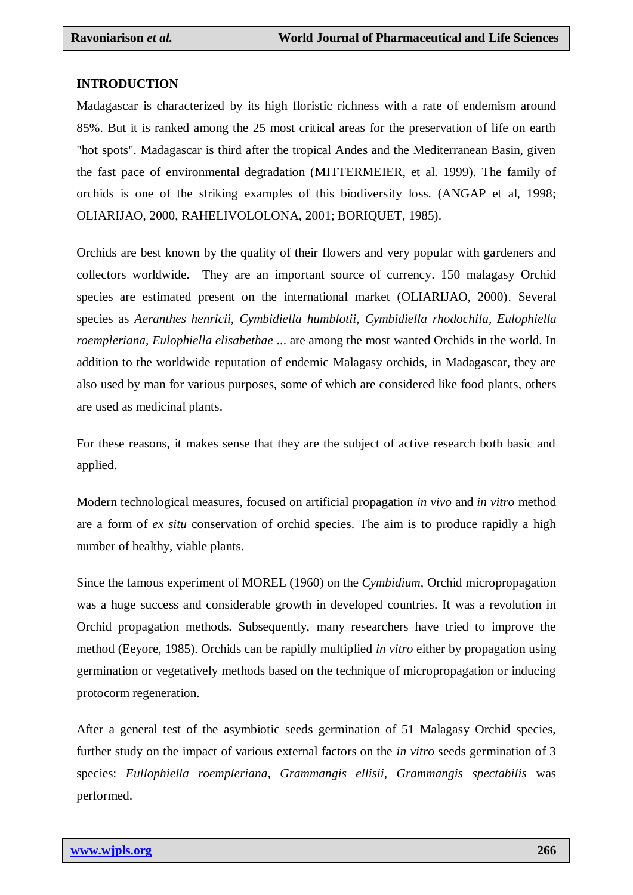#### **INTRODUCTION**

Madagascar is characterized by its high floristic richness with a rate of endemism around 85%. But it is ranked among the 25 most critical areas for the preservation of life on earth "hot spots". Madagascar is third after the tropical Andes and the Mediterranean Basin, given the fast pace of environmental degradation (MITTERMEIER, et al. 1999). The family of orchids is one of the striking examples of this biodiversity loss. (ANGAP et al, 1998; OLIARIJAO, 2000, RAHELIVOLOLONA, 2001; BORIQUET, 1985).

Orchids are best known by the quality of their flowers and very popular with gardeners and collectors worldwide. They are an important source of currency. 150 malagasy Orchid species are estimated present on the international market (OLIARIJAO, 2000). Several species as *Aeranthes henricii, Cymbidiella humblotii, Cymbidiella rhodochila, Eulophiella roempleriana, Eulophiella elisabethae* ... are among the most wanted Orchids in the world. In addition to the worldwide reputation of endemic Malagasy orchids, in Madagascar, they are also used by man for various purposes, some of which are considered like food plants, others are used as medicinal plants.

For these reasons, it makes sense that they are the subject of active research both basic and applied.

Modern technological measures, focused on artificial propagation *in vivo* and *in vitro* method are a form of *ex situ* conservation of orchid species. The aim is to produce rapidly a high number of healthy, viable plants.

Since the famous experiment of MOREL (1960) on the *Cymbidium,* Orchid micropropagation was a huge success and considerable growth in developed countries. It was a revolution in Orchid propagation methods. Subsequently, many researchers have tried to improve the method (Eeyore, 1985). Orchids can be rapidly multiplied *in vitro* either by propagation using germination or vegetatively methods based on the technique of micropropagation or inducing protocorm regeneration.

After a general test of the asymbiotic seeds germination of 51 Malagasy Orchid species, further study on the impact of various external factors on the *in vitro* seeds germination of 3 species: *Eullophiella roempleriana, Grammangis ellisii, Grammangis spectabilis* was performed.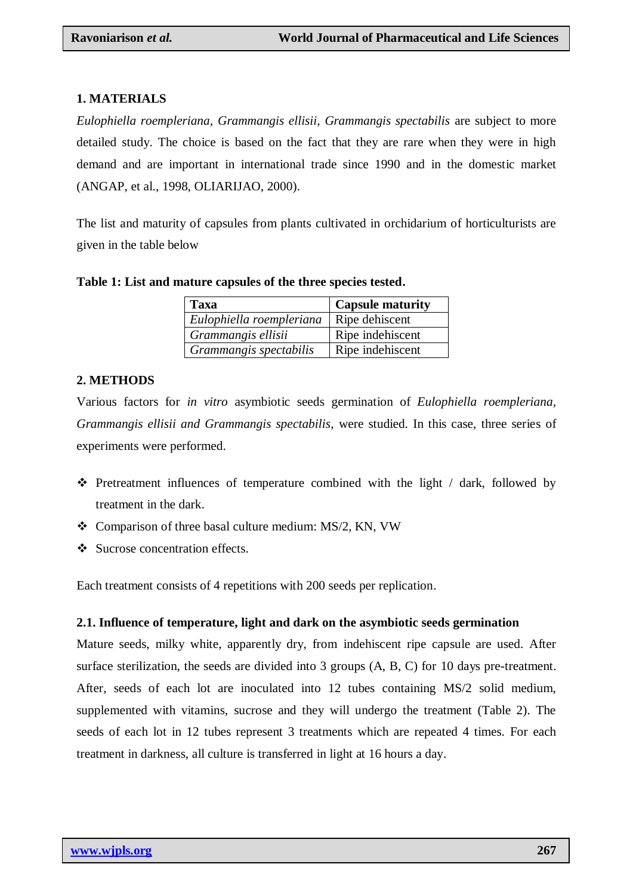### **1. MATERIALS**

*Eulophiella roempleriana, Grammangis ellisii, Grammangis spectabilis* are subject to more detailed study. The choice is based on the fact that they are rare when they were in high demand and are important in international trade since 1990 and in the domestic market (ANGAP, et al., 1998, OLIARIJAO, 2000).

The list and maturity of capsules from plants cultivated in orchidarium of horticulturists are given in the table below

| Table 1: List and mature capsules of the three species tested. |
|----------------------------------------------------------------|
|----------------------------------------------------------------|

| Taxa                     | <b>Capsule maturity</b> |
|--------------------------|-------------------------|
| Eulophiella roempleriana | Ripe dehiscent          |
| Grammangis ellisii       | Ripe indehiscent        |
| Grammangis spectabilis   | Ripe indehiscent        |

# **2. METHODS**

Various factors for *in vitro* asymbiotic seeds germination of *Eulophiella roempleriana, Grammangis ellisii and Grammangis spectabilis*, were studied. In this case, three series of experiments were performed.

- $\div$  Pretreatment influences of temperature combined with the light / dark, followed by treatment in the dark.
- Comparison of three basal culture medium: MS/2, KN, VW
- Sucrose concentration effects.

Each treatment consists of 4 repetitions with 200 seeds per replication.

### **2.1. Influence of temperature, light and dark on the asymbiotic seeds germination**

Mature seeds, milky white, apparently dry, from indehiscent ripe capsule are used. After surface sterilization, the seeds are divided into 3 groups (A, B, C) for 10 days pre-treatment. After, seeds of each lot are inoculated into 12 tubes containing MS/2 solid medium, supplemented with vitamins, sucrose and they will undergo the treatment (Table 2). The seeds of each lot in 12 tubes represent 3 treatments which are repeated 4 times. For each treatment in darkness, all culture is transferred in light at 16 hours a day.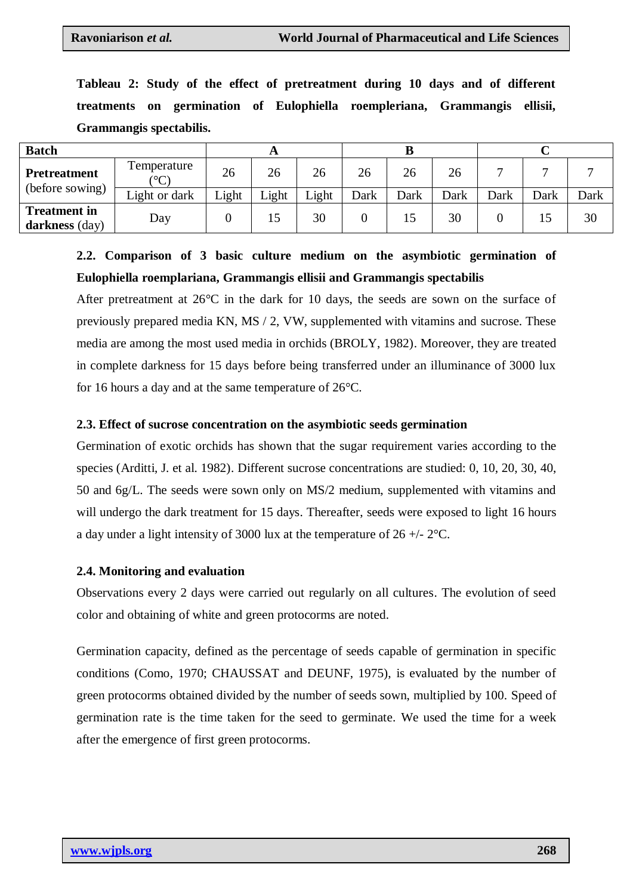**Tableau 2: Study of the effect of pretreatment during 10 days and of different treatments on germination of Eulophiella roempleriana, Grammangis ellisii, Grammangis spectabilis.**

| <b>Batch</b>                                 |                                       |       |       |       |      |      |      |      |      |      |
|----------------------------------------------|---------------------------------------|-------|-------|-------|------|------|------|------|------|------|
| <b>Pretreatment</b>                          | <b>Femperature</b><br>$\rm ^{\circ}C$ | 26    | 26    | 26    | 26   | 26   | 26   |      |      |      |
| (before sowing)                              | Light or dark                         | Light | Light | Light | Dark | Dark | Dark | Dark | Dark | Dark |
| <b>Treatment</b> in<br><b>darkness</b> (day) | Day                                   |       | 15    | 30    |      | 15   | 30   |      |      | 30   |

# **2.2. Comparison of 3 basic culture medium on the asymbiotic germination of Eulophiella roemplariana, Grammangis ellisii and Grammangis spectabilis**

After pretreatment at 26°C in the dark for 10 days, the seeds are sown on the surface of previously prepared media KN, MS / 2, VW, supplemented with vitamins and sucrose. These media are among the most used media in orchids (BROLY, 1982). Moreover, they are treated in complete darkness for 15 days before being transferred under an illuminance of 3000 lux for 16 hours a day and at the same temperature of 26°C.

### **2.3. Effect of sucrose concentration on the asymbiotic seeds germination**

Germination of exotic orchids has shown that the sugar requirement varies according to the species (Arditti, J. et al. 1982). Different sucrose concentrations are studied: 0, 10, 20, 30, 40, 50 and 6g/L. The seeds were sown only on MS/2 medium, supplemented with vitamins and will undergo the dark treatment for 15 days. Thereafter, seeds were exposed to light 16 hours a day under a light intensity of 3000 lux at the temperature of  $26 +12^{\circ}C$ .

### **2.4. Monitoring and evaluation**

Observations every 2 days were carried out regularly on all cultures. The evolution of seed color and obtaining of white and green protocorms are noted.

Germination capacity, defined as the percentage of seeds capable of germination in specific conditions (Como, 1970; CHAUSSAT and DEUNF, 1975), is evaluated by the number of green protocorms obtained divided by the number of seeds sown, multiplied by 100. Speed of germination rate is the time taken for the seed to germinate. We used the time for a week after the emergence of first green protocorms.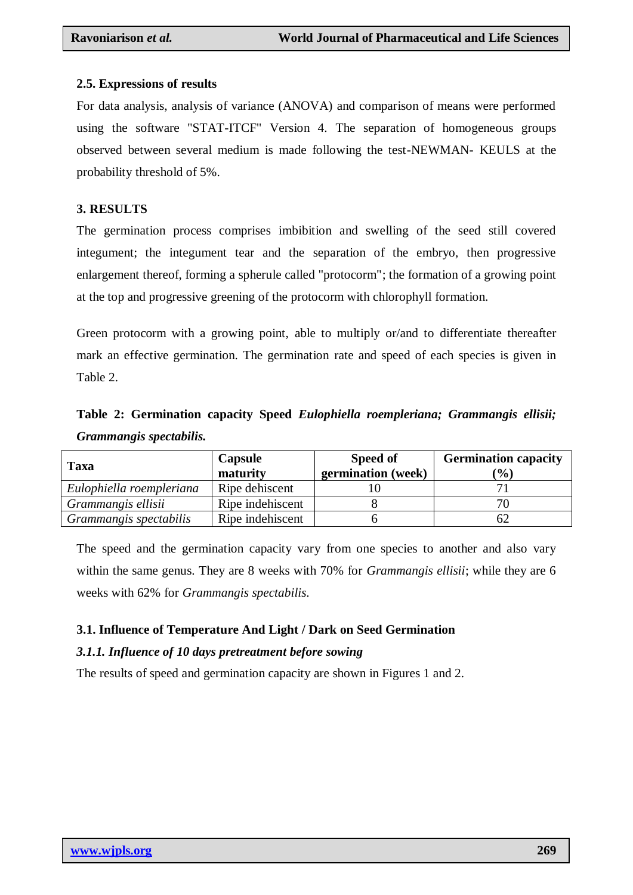# **2.5. Expressions of results**

For data analysis, analysis of variance (ANOVA) and comparison of means were performed using the software "STAT-ITCF" Version 4. The separation of homogeneous groups observed between several medium is made following the test-NEWMAN- KEULS at the probability threshold of 5%.

# **3. RESULTS**

The germination process comprises imbibition and swelling of the seed still covered integument; the integument tear and the separation of the embryo, then progressive enlargement thereof, forming a spherule called "protocorm"; the formation of a growing point at the top and progressive greening of the protocorm with chlorophyll formation.

Green protocorm with a growing point, able to multiply or/and to differentiate thereafter mark an effective germination. The germination rate and speed of each species is given in Table 2.

# **Table 2: Germination capacity Speed** *Eulophiella roempleriana; Grammangis ellisii; Grammangis spectabilis.*

| <b>Taxa</b>              | Capsule<br>maturity | Speed of<br>germination (week) | <b>Germination capacity</b><br>$\mathcal{O}(6)$ |
|--------------------------|---------------------|--------------------------------|-------------------------------------------------|
| Eulophiella roempleriana | Ripe dehiscent      |                                |                                                 |
| Grammangis ellisii       | Ripe indehiscent    |                                |                                                 |
| Grammangis spectabilis   | Ripe indehiscent    |                                |                                                 |

The speed and the germination capacity vary from one species to another and also vary within the same genus. They are 8 weeks with 70% for *Grammangis ellisii*; while they are 6 weeks with 62% for *Grammangis spectabilis.*

# **3.1. Influence of Temperature And Light / Dark on Seed Germination**

# *3.1.1. Influence of 10 days pretreatment before sowing*

The results of speed and germination capacity are shown in Figures 1 and 2.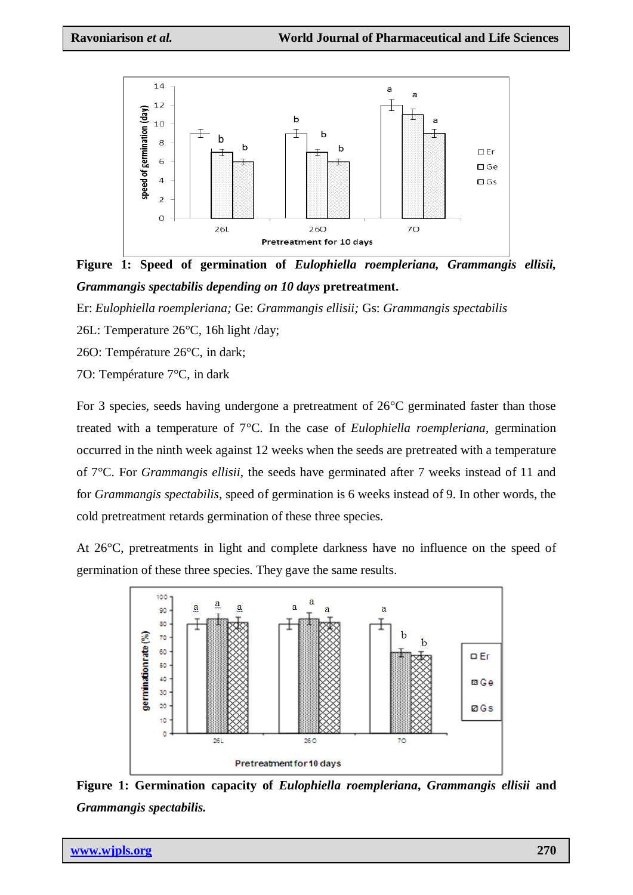

**Figure 1: Speed of germination of** *Eulophiella roempleriana, Grammangis ellisii, Grammangis spectabilis depending on 10 days* **pretreatment.** e n

Er: *Eulophiella roempleriana;* Ge: *Grammangis ellisii;* Gs: *Grammangis spectabilis* c

26L: Temperature 26°C, 16h light /day; i  $\overline{1}$ 

26O: Température 26°C, in dark;

70: Température 7°C, in dark

For 3 species, seeds having undergone a pretreatment of  $26^{\circ}$ C germinated faster than those treated with a temperature of 7°C. In the case of *Eulophiella roempleriana*, germination occurred in the ninth week against 12 weeks when the seeds are pretreated with a temperature of 7°C. For *Grammangis ellisii*, the seeds have germinated after 7 weeks instead of 11 and i for *Grammangis spectabilis*, speed of germination is 6 weeks instead of 9. In other words, the cold pretreatment retards germination of these three species. p e

At 26°C, pretreatments in light and complete darkness have no influence on the speed of germination of these three species. They gave the same results.



**Figure 1: Germination capacity of** *Eulophiella roempleriana***,** *Grammangis ellisii* **and** u *Grammangis spectabilis.*

n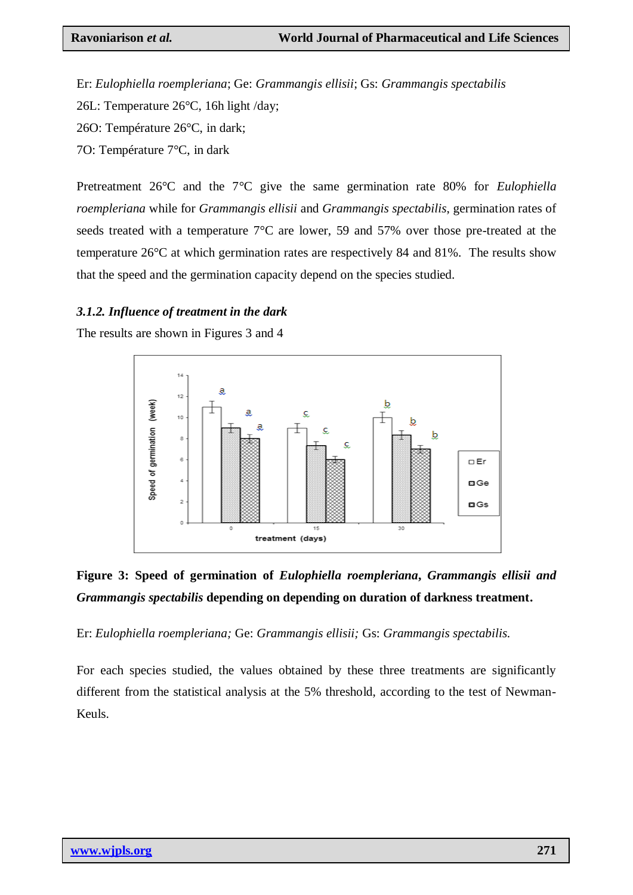Er: *Eulophiella roempleriana*; Ge: *Grammangis ellisii*; Gs: *Grammangis spectabilis*

26L: Temperature 26°C, 16h light /day;

26O: Température 26°C, in dark;

7O: Température 7°C, in dark

Pretreatment 26°C and the 7°C give the same germination rate 80% for *Eulophiella roempleriana* while for *Grammangis ellisii* and *Grammangis spectabilis*, germination rates of seeds treated with a temperature 7°C are lower, 59 and 57% over those pre-treated at the temperature 26°C at which germination rates are respectively 84 and 81%. The results show that the speed and the germination capacity depend on the species studied.

### *3.1.2. Influence of treatment in the dark*

The results are shown in Figures 3 and 4



# **Figure 3: Speed of germination of** *Eulophiella roempleriana***,** *Grammangis ellisii and Grammangis spectabilis* **depending on depending on duration of darkness treatment.**

Er: *Eulophiella roempleriana;* Ge: *Grammangis ellisii;* Gs: *Grammangis spectabilis.*

For each species studied, the values obtained by these three treatments are significantly different from the statistical analysis at the 5% threshold, according to the test of Newman-Keuls.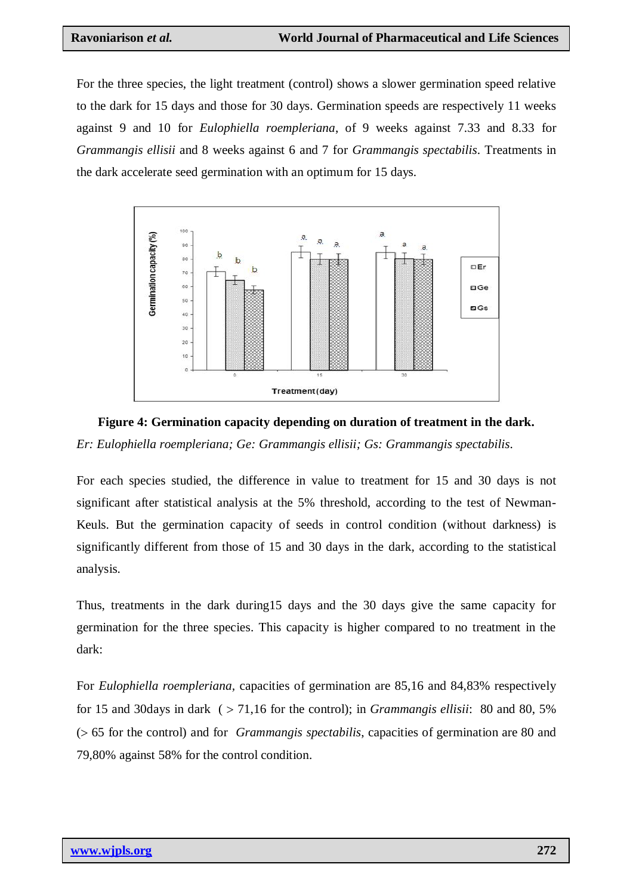For the three species, the light treatment (control) shows a slower germination speed relative to the dark for 15 days and those for 30 days. Germination speeds are respectively 11 weeks against 9 and 10 for *Eulophiella roempleriana*, of 9 weeks against 7.33 and 8.33 for *Grammangis ellisii* and 8 weeks against 6 and 7 for *Grammangis spectabilis*. Treatments in the dark accelerate seed germination with an optimum for 15 days.



# **Figure 4: Germination capacity depending on duration of treatment in the dark.** *Er: Eulophiella roempleriana; Ge: Grammangis ellisii; Gs: Grammangis spectabilis.*

For each species studied, the difference in value to treatment for 15 and 30 days is not significant after statistical analysis at the 5% threshold, according to the test of Newman-Keuls. But the germination capacity of seeds in control condition (without darkness) is significantly different from those of 15 and 30 days in the dark, according to the statistical analysis.

Thus, treatments in the dark during15 days and the 30 days give the same capacity for germination for the three species. This capacity is higher compared to no treatment in the dark:

For *Eulophiella roempleriana,* capacities of germination are 85,16 and 84,83% respectively for 15 and 30days in dark  $($  > 71,16 for the control); in *Grammangis ellisii*: 80 and 80, 5% ( 65 for the control) and for *Grammangis spectabilis*, capacities of germination are 80 and 79,80% against 58% for the control condition.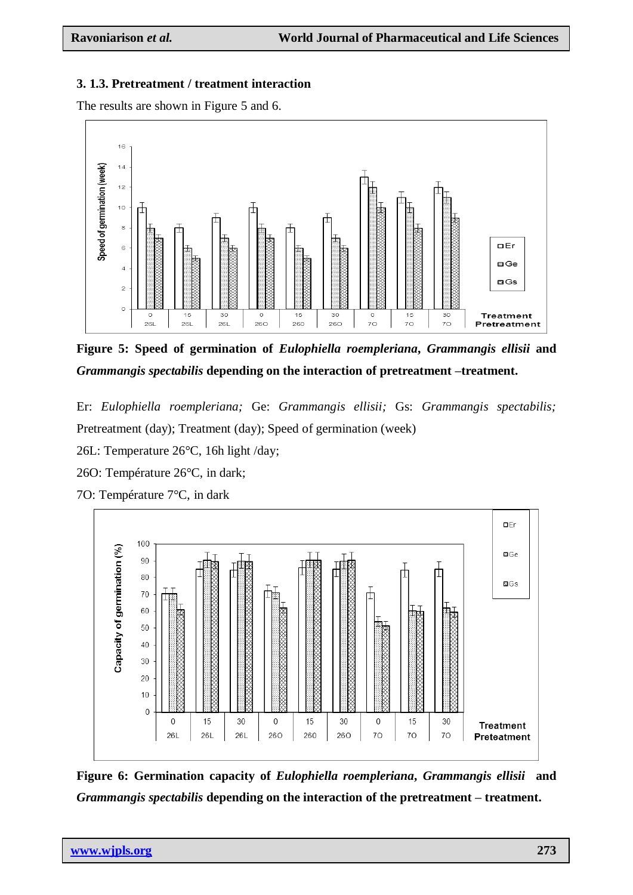# **3. 1.3. Pretreatment / treatment interaction**

The results are shown in Figure 5 and 6.



**Figure 5: Speed of germination of** *Eulophiella roempleriana***,** *Grammangis ellisii* **and** *Grammangis spectabilis* **depending on the interaction of pretreatment –treatment.**

Er: *Eulophiella roempleriana;* Ge: *Grammangis ellisii;* Gs: *Grammangis spectabilis;* Pretreatment (day); Treatment (day); Speed of germination (week)

26L: Temperature 26°C, 16h light /day;

26O: Température 26°C, in dark;



**Figure 6: Germination capacity of** *Eulophiella roempleriana***,** *Grammangis ellisii* **and**  *Grammangis spectabilis* **depending on the interaction of the pretreatment – treatment.**

7O: Température 7°C, in dark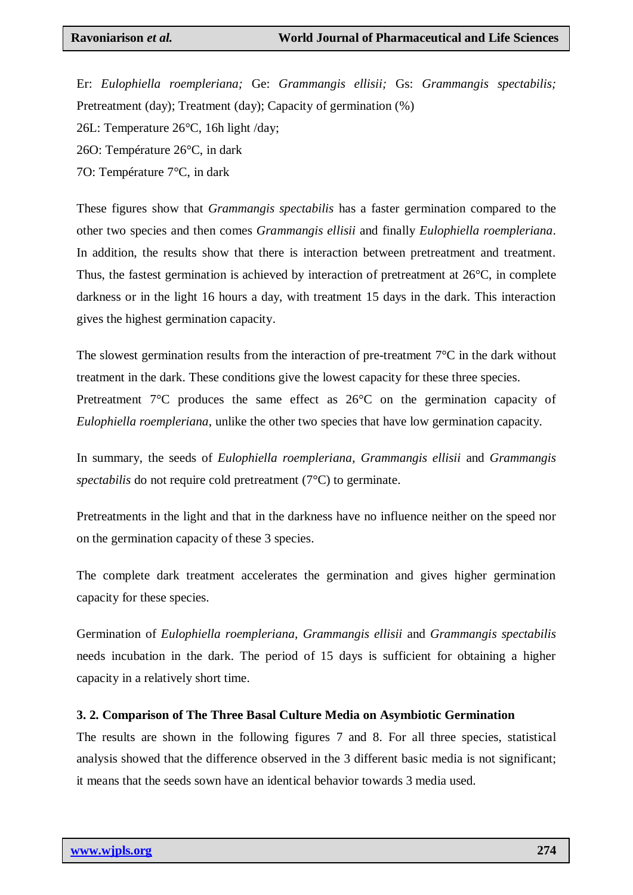Er: *Eulophiella roempleriana;* Ge: *Grammangis ellisii;* Gs: *Grammangis spectabilis;* Pretreatment (day); Treatment (day); Capacity of germination (%) 26L: Temperature 26°C, 16h light /day;

26O: Température 26°C, in dark

7O: Température 7°C, in dark

These figures show that *Grammangis spectabilis* has a faster germination compared to the other two species and then comes *Grammangis ellisii* and finally *Eulophiella roempleriana*. In addition, the results show that there is interaction between pretreatment and treatment. Thus, the fastest germination is achieved by interaction of pretreatment at 26°C, in complete darkness or in the light 16 hours a day, with treatment 15 days in the dark. This interaction gives the highest germination capacity.

The slowest germination results from the interaction of pre-treatment  $7^{\circ}C$  in the dark without treatment in the dark. These conditions give the lowest capacity for these three species. Pretreatment 7°C produces the same effect as 26°C on the germination capacity of *Eulophiella roempleriana*, unlike the other two species that have low germination capacity.

In summary, the seeds of *Eulophiella roempleriana*, *Grammangis ellisii* and *Grammangis spectabilis* do not require cold pretreatment (7°C) to germinate.

Pretreatments in the light and that in the darkness have no influence neither on the speed nor on the germination capacity of these 3 species.

The complete dark treatment accelerates the germination and gives higher germination capacity for these species.

Germination of *Eulophiella roempleriana, Grammangis ellisii* and *Grammangis spectabilis* needs incubation in the dark. The period of 15 days is sufficient for obtaining a higher capacity in a relatively short time.

#### **3. 2. Comparison of The Three Basal Culture Media on Asymbiotic Germination**

The results are shown in the following figures 7 and 8. For all three species, statistical analysis showed that the difference observed in the 3 different basic media is not significant; it means that the seeds sown have an identical behavior towards 3 media used.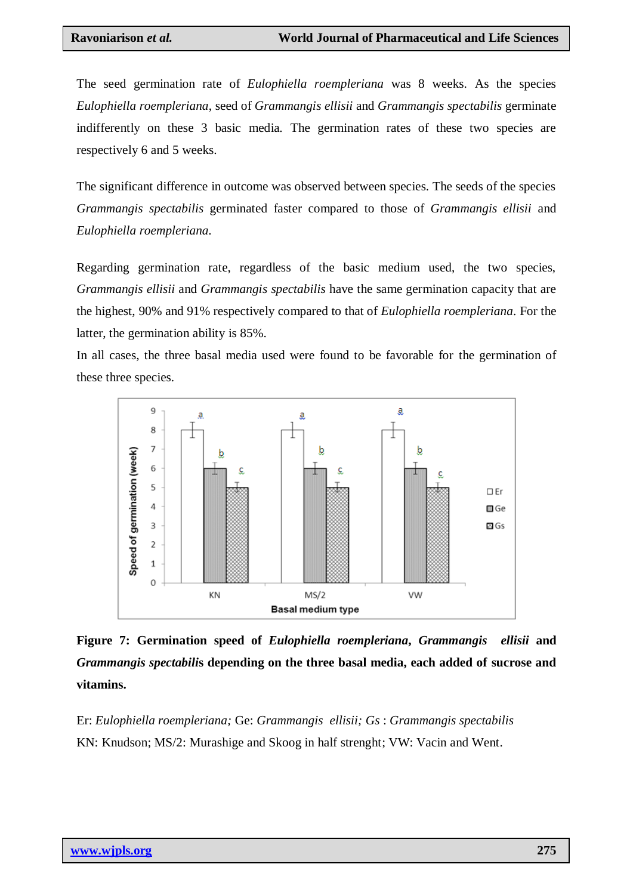The seed germination rate of *Eulophiella roempleriana* was 8 weeks. As the species *Eulophiella roempleriana*, seed of *Grammangis ellisii* and *Grammangis spectabilis* germinate indifferently on these 3 basic media*.* The germination rates of these two species are respectively 6 and 5 weeks.

The significant difference in outcome was observed between species. The seeds of the species *Grammangis spectabilis* germinated faster compared to those of *Grammangis ellisii* and *Eulophiella roempleriana.*

Regarding germination rate, regardless of the basic medium used, the two species, *Grammangis ellisii* and *Grammangis spectabilis* have the same germination capacity that are the highest, 90% and 91% respectively compared to that of *Eulophiella roempleriana*. For the latter, the germination ability is 85%.

In all cases, the three basal media used were found to be favorable for the germination of these three species.



**Figure 7: Germination speed of** *Eulophiella roempleriana***,** *Grammangis ellisii* **and** *Grammangis spectabili***s depending on the three basal media, each added of sucrose and vitamins.**

Er: *Eulophiella roempleriana;* Ge: *Grammangis ellisii; Gs* : *Grammangis spectabilis* KN: Knudson; MS/2: Murashige and Skoog in half strenght; VW: Vacin and Went.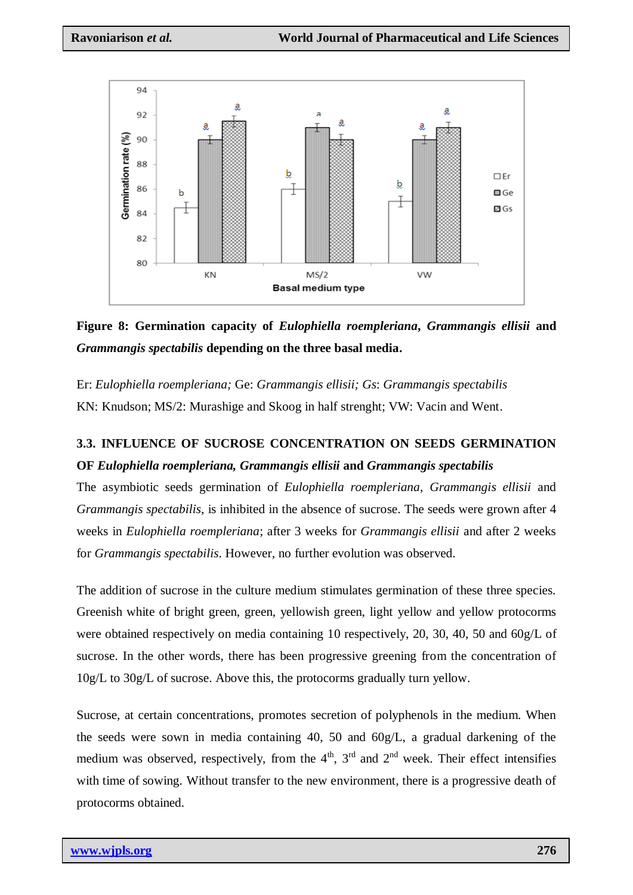

**Figure 8: Germination capacity of** *Eulophiella roempleriana***,** *Grammangis ellisii* **and** *Grammangis spectabilis* **depending on the three basal media.**

Er: *Eulophiella roempleriana;* Ge: *Grammangis ellisii; Gs*: *Grammangis spectabilis* KN: Knudson; MS/2: Murashige and Skoog in half strenght; VW: Vacin and Went.

# **3.3. INFLUENCE OF SUCROSE CONCENTRATION ON SEEDS GERMINATION OF** *Eulophiella roempleriana, Grammangis ellisii* **and** *Grammangis spectabilis*

The asymbiotic seeds germination of *Eulophiella roempleriana, Grammangis ellisii* and *Grammangis spectabilis*, is inhibited in the absence of sucrose. The seeds were grown after 4 weeks in *Eulophiella roempleriana*; after 3 weeks for *Grammangis ellisii* and after 2 weeks for *Grammangis spectabilis*. However, no further evolution was observed.

The addition of sucrose in the culture medium stimulates germination of these three species. Greenish white of bright green, green, yellowish green, light yellow and yellow protocorms were obtained respectively on media containing 10 respectively, 20, 30, 40, 50 and 60g/L of sucrose. In the other words, there has been progressive greening from the concentration of 10g/L to 30g/L of sucrose. Above this, the protocorms gradually turn yellow.

Sucrose, at certain concentrations, promotes secretion of polyphenols in the medium. When the seeds were sown in media containing 40, 50 and 60g/L, a gradual darkening of the medium was observed, respectively, from the  $4<sup>th</sup>$ ,  $3<sup>rd</sup>$  and  $2<sup>nd</sup>$  week. Their effect intensifies with time of sowing. Without transfer to the new environment, there is a progressive death of protocorms obtained.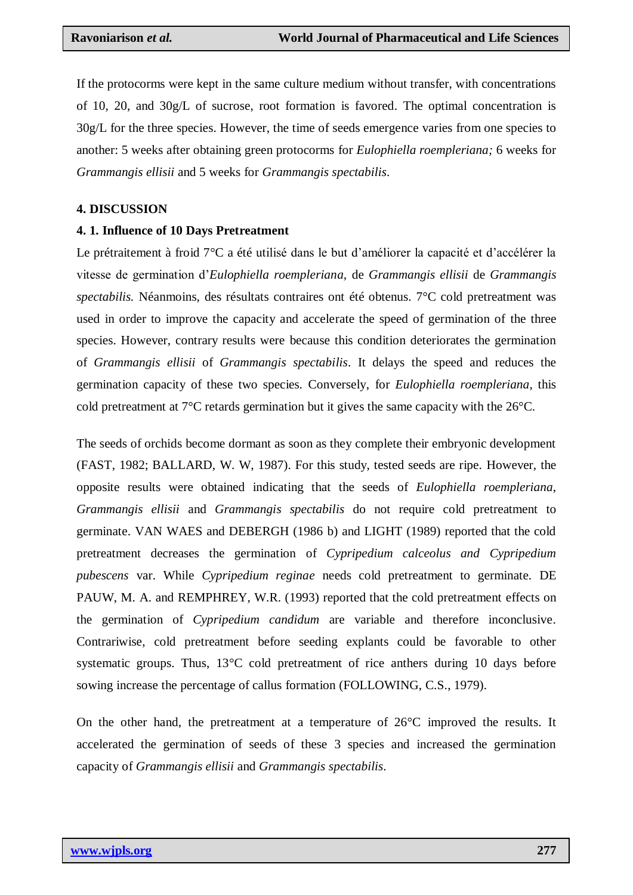If the protocorms were kept in the same culture medium without transfer, with concentrations of 10, 20, and 30g/L of sucrose, root formation is favored. The optimal concentration is 30g/L for the three species. However, the time of seeds emergence varies from one species to another: 5 weeks after obtaining green protocorms for *Eulophiella roempleriana;* 6 weeks for *Grammangis ellisii* and 5 weeks for *Grammangis spectabilis*.

#### **4. DISCUSSION**

#### **4. 1. Influence of 10 Days Pretreatment**

Le prétraitement à froid 7°C a été utilisé dans le but d"améliorer la capacité et d"accélérer la vitesse de germination d"*Eulophiella roempleriana,* de *Grammangis ellisii* de *Grammangis spectabilis.* Néanmoins, des résultats contraires ont été obtenus. 7°C cold pretreatment was used in order to improve the capacity and accelerate the speed of germination of the three species. However, contrary results were because this condition deteriorates the germination of *Grammangis ellisii* of *Grammangis spectabilis*. It delays the speed and reduces the germination capacity of these two species. Conversely, for *Eulophiella roempleriana*, this cold pretreatment at 7°C retards germination but it gives the same capacity with the 26°C.

The seeds of orchids become dormant as soon as they complete their embryonic development (FAST, 1982; BALLARD, W. W, 1987). For this study, tested seeds are ripe. However, the opposite results were obtained indicating that the seeds of *Eulophiella roempleriana*, *Grammangis ellisii* and *Grammangis spectabilis* do not require cold pretreatment to germinate. VAN WAES and DEBERGH (1986 b) and LIGHT (1989) reported that the cold pretreatment decreases the germination of *Cypripedium calceolus and Cypripedium pubescens* var. While *Cypripedium reginae* needs cold pretreatment to germinate. DE PAUW, M. A. and REMPHREY, W.R. (1993) reported that the cold pretreatment effects on the germination of *Cypripedium candidum* are variable and therefore inconclusive. Contrariwise, cold pretreatment before seeding explants could be favorable to other systematic groups. Thus, 13<sup>o</sup>C cold pretreatment of rice anthers during 10 days before sowing increase the percentage of callus formation (FOLLOWING, C.S., 1979).

On the other hand, the pretreatment at a temperature of  $26^{\circ}$ C improved the results. It accelerated the germination of seeds of these 3 species and increased the germination capacity of *Grammangis ellisii* and *Grammangis spectabilis*.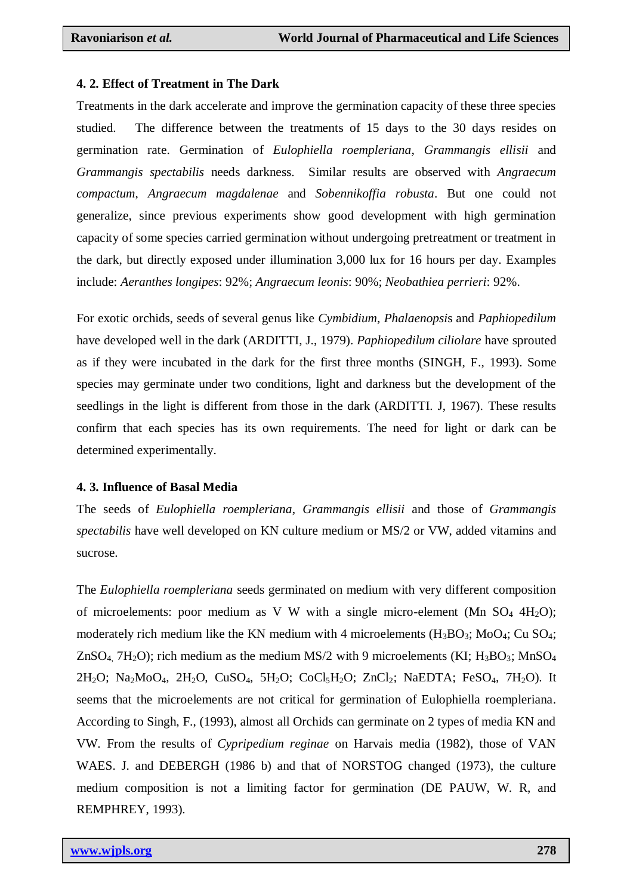#### **4. 2. Effect of Treatment in The Dark**

Treatments in the dark accelerate and improve the germination capacity of these three species studied. The difference between the treatments of 15 days to the 30 days resides on germination rate. Germination of *Eulophiella roempleriana*, *Grammangis ellisii* and *Grammangis spectabilis* needs darkness. Similar results are observed with *Angraecum compactum*, *Angraecum magdalenae* and *Sobennikoffia robusta*. But one could not generalize, since previous experiments show good development with high germination capacity of some species carried germination without undergoing pretreatment or treatment in the dark, but directly exposed under illumination 3,000 lux for 16 hours per day. Examples include: *Aeranthes longipes*: 92%; *Angraecum leonis*: 90%; *Neobathiea perrieri*: 92%.

For exotic orchids, seeds of several genus like *Cymbidium*, *Phalaenopsi*s and *Paphiopedilum* have developed well in the dark (ARDITTI, J., 1979). *Paphiopedilum ciliolare* have sprouted as if they were incubated in the dark for the first three months (SINGH, F., 1993). Some species may germinate under two conditions, light and darkness but the development of the seedlings in the light is different from those in the dark (ARDITTI. J, 1967). These results confirm that each species has its own requirements. The need for light or dark can be determined experimentally.

### **4. 3. Influence of Basal Media**

The seeds of *Eulophiella roempleriana*, *Grammangis ellisii* and those of *Grammangis spectabilis* have well developed on KN culture medium or MS/2 or VW, added vitamins and sucrose.

The *Eulophiella roempleriana* seeds germinated on medium with very different composition of microelements: poor medium as V W with a single micro-element (Mn  $SO_4$  4H<sub>2</sub>O); moderately rich medium like the KN medium with 4 microelements  $(H_3BO_3; MoO_4; CuSO_4;$ ZnSO<sub>4</sub>, 7H<sub>2</sub>O); rich medium as the medium MS/2 with 9 microelements (KI; H<sub>3</sub>BO<sub>3</sub>; MnSO<sub>4</sub>  $2H_2O$ ; Na<sub>2</sub>MoO<sub>4</sub>, 2H<sub>2</sub>O, CuSO<sub>4</sub>, 5H<sub>2</sub>O; CoCl<sub>5</sub>H<sub>2</sub>O; ZnCl<sub>2</sub>; NaEDTA; FeSO<sub>4</sub>, 7H<sub>2</sub>O). It seems that the microelements are not critical for germination of Eulophiella roempleriana. According to Singh, F., (1993), almost all Orchids can germinate on 2 types of media KN and VW. From the results of *Cypripedium reginae* on Harvais media (1982), those of VAN WAES. J. and DEBERGH (1986 b) and that of NORSTOG changed (1973), the culture medium composition is not a limiting factor for germination (DE PAUW, W. R, and REMPHREY, 1993).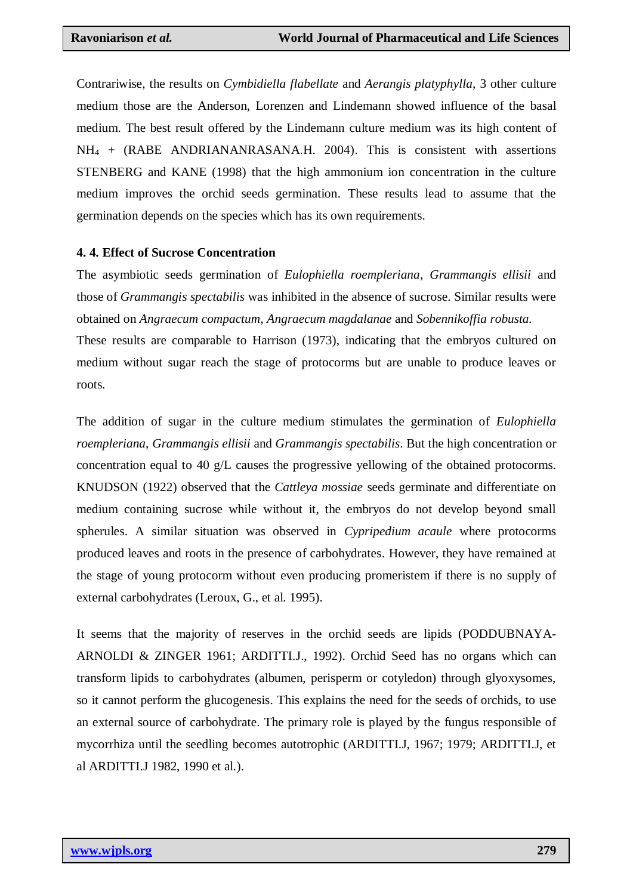Contrariwise, the results on *Cymbidiella flabellate* and *Aerangis platyphylla*, 3 other culture medium those are the Anderson, Lorenzen and Lindemann showed influence of the basal medium. The best result offered by the Lindemann culture medium was its high content of  $NH_4$  + (RABE ANDRIANANRASANA.H. 2004). This is consistent with assertions STENBERG and KANE (1998) that the high ammonium ion concentration in the culture medium improves the orchid seeds germination. These results lead to assume that the germination depends on the species which has its own requirements.

#### **4. 4. Effect of Sucrose Concentration**

The asymbiotic seeds germination of *Eulophiella roempleriana*, *Grammangis ellisii* and those of *Grammangis spectabilis* was inhibited in the absence of sucrose. Similar results were obtained on *Angraecum compactum*, *Angraecum magdalanae* and *Sobennikoffia robusta.* These results are comparable to Harrison (1973), indicating that the embryos cultured on medium without sugar reach the stage of protocorms but are unable to produce leaves or roots.

The addition of sugar in the culture medium stimulates the germination of *Eulophiella roempleriana*, *Grammangis ellisii* and *Grammangis spectabilis*. But the high concentration or concentration equal to 40 g/L causes the progressive yellowing of the obtained protocorms. KNUDSON (1922) observed that the *Cattleya mossiae* seeds germinate and differentiate on medium containing sucrose while without it, the embryos do not develop beyond small spherules. A similar situation was observed in *Cypripedium acaule* where protocorms produced leaves and roots in the presence of carbohydrates. However, they have remained at the stage of young protocorm without even producing promeristem if there is no supply of external carbohydrates (Leroux, G., et al. 1995).

It seems that the majority of reserves in the orchid seeds are lipids (PODDUBNAYA-ARNOLDI & ZINGER 1961; ARDITTI.J., 1992). Orchid Seed has no organs which can transform lipids to carbohydrates (albumen, perisperm or cotyledon) through glyoxysomes, so it cannot perform the glucogenesis. This explains the need for the seeds of orchids, to use an external source of carbohydrate. The primary role is played by the fungus responsible of mycorrhiza until the seedling becomes autotrophic (ARDITTI.J, 1967; 1979; ARDITTI.J, et al ARDITTI.J 1982, 1990 et al.).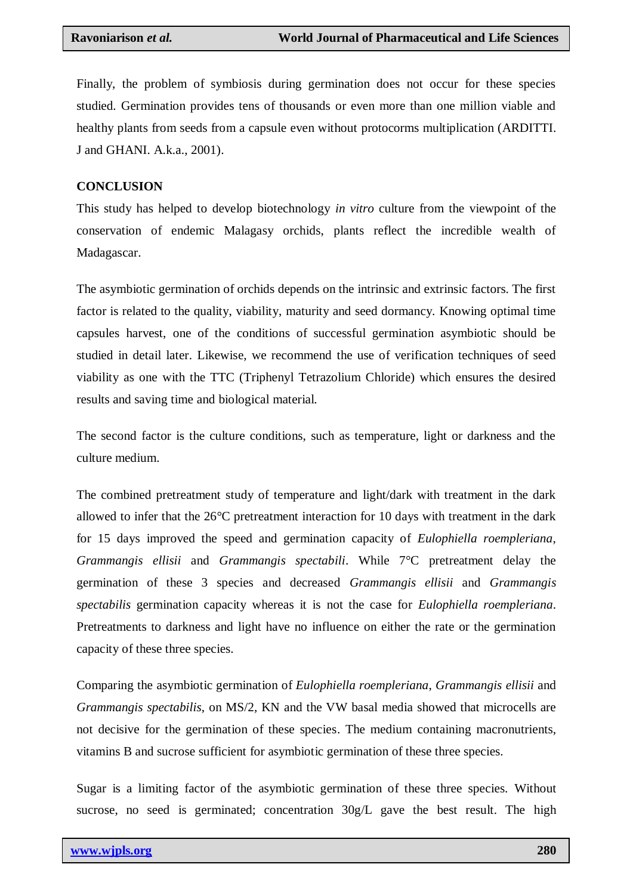Finally, the problem of symbiosis during germination does not occur for these species studied. Germination provides tens of thousands or even more than one million viable and healthy plants from seeds from a capsule even without protocorms multiplication (ARDITTI. J and GHANI. A.k.a., 2001).

#### **CONCLUSION**

This study has helped to develop biotechnology *in vitro* culture from the viewpoint of the conservation of endemic Malagasy orchids, plants reflect the incredible wealth of Madagascar.

The asymbiotic germination of orchids depends on the intrinsic and extrinsic factors. The first factor is related to the quality, viability, maturity and seed dormancy. Knowing optimal time capsules harvest, one of the conditions of successful germination asymbiotic should be studied in detail later. Likewise, we recommend the use of verification techniques of seed viability as one with the TTC (Triphenyl Tetrazolium Chloride) which ensures the desired results and saving time and biological material.

The second factor is the culture conditions, such as temperature, light or darkness and the culture medium.

The combined pretreatment study of temperature and light/dark with treatment in the dark allowed to infer that the 26°C pretreatment interaction for 10 days with treatment in the dark for 15 days improved the speed and germination capacity of *Eulophiella roempleriana, Grammangis ellisii* and *Grammangis spectabili*. While 7°C pretreatment delay the germination of these 3 species and decreased *Grammangis ellisii* and *Grammangis spectabilis* germination capacity whereas it is not the case for *Eulophiella roempleriana*. Pretreatments to darkness and light have no influence on either the rate or the germination capacity of these three species.

Comparing the asymbiotic germination of *Eulophiella roempleriana*, *Grammangis ellisii* and *Grammangis spectabilis*, on MS/2, KN and the VW basal media showed that microcells are not decisive for the germination of these species. The medium containing macronutrients, vitamins B and sucrose sufficient for asymbiotic germination of these three species.

Sugar is a limiting factor of the asymbiotic germination of these three species. Without sucrose, no seed is germinated; concentration  $30g/L$  gave the best result. The high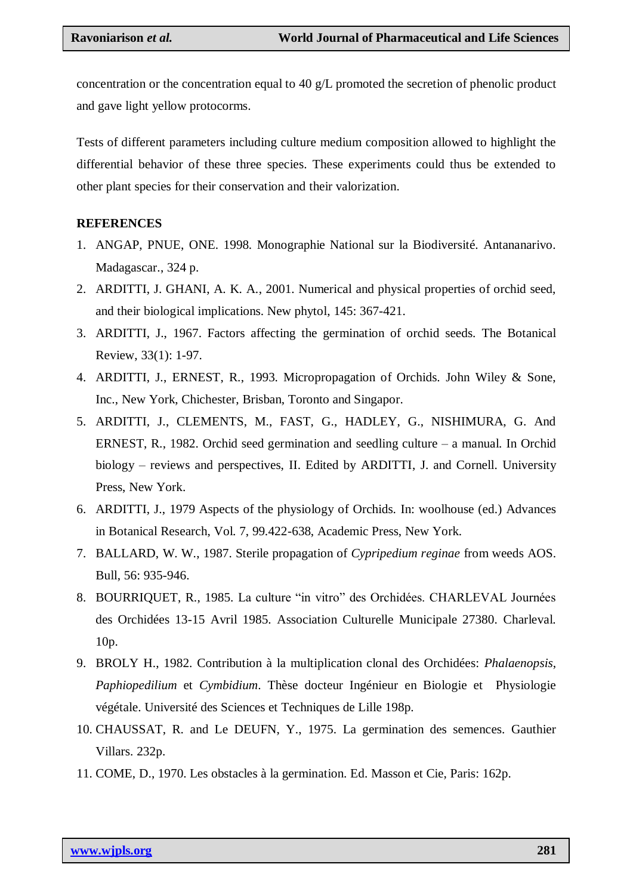concentration or the concentration equal to 40 g/L promoted the secretion of phenolic product and gave light yellow protocorms.

Tests of different parameters including culture medium composition allowed to highlight the differential behavior of these three species. These experiments could thus be extended to other plant species for their conservation and their valorization.

#### **REFERENCES**

- 1. ANGAP, PNUE, ONE. 1998. Monographie National sur la Biodiversité. Antananarivo. Madagascar., 324 p.
- 2. ARDITTI, J. GHANI, A. K. A., 2001. Numerical and physical properties of orchid seed, and their biological implications. New phytol, 145: 367-421.
- 3. ARDITTI, J., 1967. Factors affecting the germination of orchid seeds. The Botanical Review, 33(1): 1-97.
- 4. ARDITTI, J., ERNEST, R., 1993. Micropropagation of Orchids. John Wiley & Sone, Inc., New York, Chichester, Brisban, Toronto and Singapor.
- 5. ARDITTI, J., CLEMENTS, M., FAST, G., HADLEY, G., NISHIMURA, G. And ERNEST, R., 1982. Orchid seed germination and seedling culture – a manual. In Orchid biology – reviews and perspectives, II. Edited by ARDITTI, J. and Cornell. University Press, New York.
- 6. ARDITTI, J., 1979 Aspects of the physiology of Orchids. In: woolhouse (ed.) Advances in Botanical Research, Vol. 7, 99.422-638, Academic Press, New York.
- 7. BALLARD, W. W., 1987. Sterile propagation of *Cypripedium reginae* from weeds AOS. Bull, 56: 935-946.
- 8. BOURRIQUET, R., 1985. La culture "in vitro" des Orchidées. CHARLEVAL Journées des Orchidées 13-15 Avril 1985. Association Culturelle Municipale 27380. Charleval. 10p.
- 9. BROLY H., 1982. Contribution à la multiplication clonal des Orchidées: *Phalaenopsis*, *Paphiopedilium* et *Cymbidium*. Thèse docteur Ingénieur en Biologie et Physiologie végétale. Université des Sciences et Techniques de Lille 198p.
- 10. CHAUSSAT, R. and Le DEUFN, Y., 1975. La germination des semences. Gauthier Villars. 232p.
- 11. COME, D., 1970. Les obstacles à la germination. Ed. Masson et Cie, Paris: 162p.